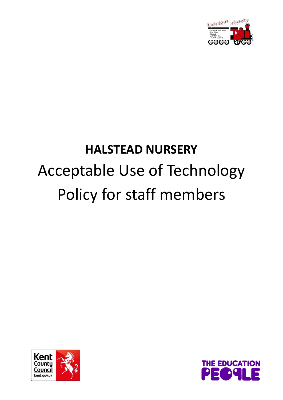

# **HALSTEAD NURSERY** Acceptable Use of Technology Policy for staff members



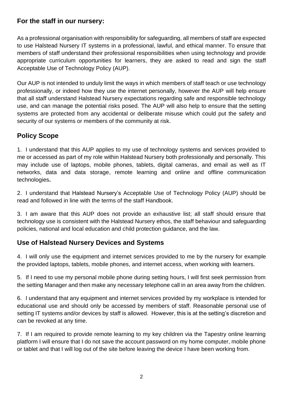### **For the staff in our nursery:**

As a professional organisation with responsibility for safeguarding, all members of staff are expected to use Halstead Nursery IT systems in a professional, lawful, and ethical manner. To ensure that members of staff understand their professional responsibilities when using technology and provide appropriate curriculum opportunities for learners, they are asked to read and sign the staff Acceptable Use of Technology Policy (AUP).

Our AUP is not intended to unduly limit the ways in which members of staff teach or use technology professionally, or indeed how they use the internet personally, however the AUP will help ensure that all staff understand Halstead Nursery expectations regarding safe and responsible technology use, and can manage the potential risks posed. The AUP will also help to ensure that the setting systems are protected from any accidental or deliberate misuse which could put the safety and security of our systems or members of the community at risk.

## **Policy Scope**

1. I understand that this AUP applies to my use of technology systems and services provided to me or accessed as part of my role within Halstead Nursery both professionally and personally. This may include use of laptops, mobile phones, tablets, digital cameras, and email as well as IT networks, data and data storage, remote learning and online and offline communication technologies**.**

2. I understand that Halstead Nursery's Acceptable Use of Technology Policy (AUP) should be read and followed in line with the terms of the staff Handbook.

3. I am aware that this AUP does not provide an exhaustive list; all staff should ensure that technology use is consistent with the Halstead Nursery ethos, the staff behaviour and safeguarding policies, national and local education and child protection guidance, and the law.

#### **Use of Halstead Nursery Devices and Systems**

4. I will only use the equipment and internet services provided to me by the nursery for example the provided laptops, tablets, mobile phones, and internet access, when working with learners.

5. If I need to use my personal mobile phone during setting hours, I will first seek permission from the setting Manager and then make any necessary telephone call in an area away from the children.

6. I understand that any equipment and internet services provided by my workplace is intended for educational use and should only be accessed by members of staff. Reasonable personal use of setting IT systems and/or devices by staff is allowed. However, this is at the setting's discretion and can be revoked at any time.

7. If I am required to provide remote learning to my key children via the Tapestry online learning platform I will ensure that I do not save the account password on my home computer, mobile phone or tablet and that I will log out of the site before leaving the device I have been working from.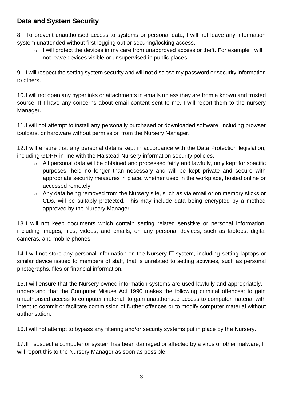## **Data and System Security**

8. To prevent unauthorised access to systems or personal data, I will not leave any information system unattended without first logging out or securing/locking access.

o I will protect the devices in my care from unapproved access or theft. For example I will not leave devices visible or unsupervised in public places.

9. I will respect the setting system security and will not disclose my password or security information to others.

10.I will not open any hyperlinks or attachments in emails unless they are from a known and trusted source. If I have any concerns about email content sent to me, I will report them to the nursery Manager.

11.I will not attempt to install any personally purchased or downloaded software, including browser toolbars, or hardware without permission from the Nursery Manager.

12.I will ensure that any personal data is kept in accordance with the Data Protection legislation, including GDPR in line with the Halstead Nursery information security policies.

- o All personal data will be obtained and processed fairly and lawfully, only kept for specific purposes, held no longer than necessary and will be kept private and secure with appropriate security measures in place, whether used in the workplace, hosted online or accessed remotely.
- o Any data being removed from the Nursery site, such as via email or on memory sticks or CDs, will be suitably protected. This may include data being encrypted by a method approved by the Nursery Manager.

13.I will not keep documents which contain setting related sensitive or personal information, including images, files, videos, and emails, on any personal devices, such as laptops, digital cameras, and mobile phones.

14.I will not store any personal information on the Nursery IT system, including setting laptops or similar device issued to members of staff, that is unrelated to setting activities, such as personal photographs, files or financial information.

15.I will ensure that the Nursery owned information systems are used lawfully and appropriately. I understand that the Computer Misuse Act 1990 makes the following criminal offences: to gain unauthorised access to computer material; to gain unauthorised access to computer material with intent to commit or facilitate commission of further offences or to modify computer material without authorisation.

16.I will not attempt to bypass any filtering and/or security systems put in place by the Nursery.

17.If I suspect a computer or system has been damaged or affected by a virus or other malware, I will report this to the Nursery Manager as soon as possible.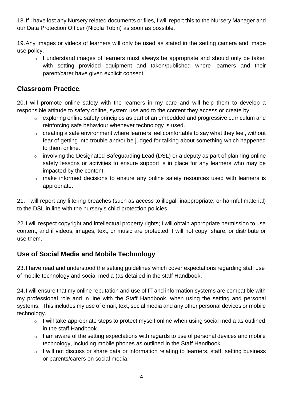18.If I have lost any Nursery related documents or files, I will report this to the Nursery Manager and our Data Protection Officer (Nicola Tobin) as soon as possible.

19.Any images or videos of learners will only be used as stated in the setting camera and image use policy.

o I understand images of learners must always be appropriate and should only be taken with setting provided equipment and taken/published where learners and their parent/carer have given explicit consent.

#### **Classroom Practice***.*

20.I will promote online safety with the learners in my care and will help them to develop a responsible attitude to safety online, system use and to the content they access or create by:

- o exploring online safety principles as part of an embedded and progressive curriculum and reinforcing safe behaviour whenever technology is used.
- o creating a safe environment where learners feel comfortable to say what they feel, without fear of getting into trouble and/or be judged for talking about something which happened to them online.
- o involving the Designated Safeguarding Lead (DSL) or a deputy as part of planning online safety lessons or activities to ensure support is in place for any learners who may be impacted by the content.
- o make informed decisions to ensure any online safety resources used with learners is appropriate.

21. I will report any filtering breaches (such as access to illegal, inappropriate, or harmful material) to the DSL in line with the nursery's child protection policies.

22.I will respect copyright and intellectual property rights; I will obtain appropriate permission to use content, and if videos, images, text, or music are protected, I will not copy, share, or distribute or use them.

### **Use of Social Media and Mobile Technology**

23.I have read and understood the setting guidelines which cover expectations regarding staff use of mobile technology and social media (as detailed in the staff Handbook.

24.I will ensure that my online reputation and use of IT and information systems are compatible with my professional role and in line with the Staff Handbook, when using the setting and personal systems. This includes my use of email, text, social media and any other personal devices or mobile technology.

- o I will take appropriate steps to protect myself online when using social media as outlined in the staff Handbook.
- o I am aware of the setting expectations with regards to use of personal devices and mobile technology, including mobile phones as outlined in the Staff Handbook.
- o I will not discuss or share data or information relating to learners, staff, setting business or parents/carers on social media.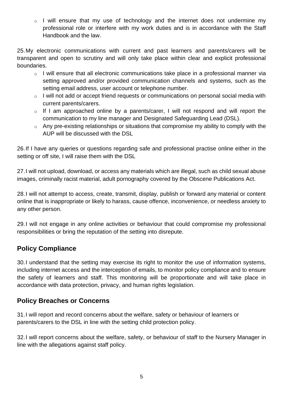o I will ensure that my use of technology and the internet does not undermine my professional role or interfere with my work duties and is in accordance with the Staff Handbook and the law.

25.My electronic communications with current and past learners and parents/carers will be transparent and open to scrutiny and will only take place within clear and explicit professional boundaries.

- o I will ensure that all electronic communications take place in a professional manner via setting approved and/or provided communication channels and systems, such as the setting email address, user account or telephone number.
- o I will not add or accept friend requests or communications on personal social media with current parents/carers.
- o If I am approached online by a parents/carer, I will not respond and will report the communication to my line manager and Designated Safeguarding Lead (DSL).
- o Any pre-existing relationships or situations that compromise my ability to comply with the AUP will be discussed with the DSL

26.If I have any queries or questions regarding safe and professional practise online either in the setting or off site, I will raise them with the DSL

27.I will not upload, download, or access any materials which are illegal, such as child sexual abuse images, criminally racist material, adult pornography covered by the Obscene Publications Act.

28.I will not attempt to access, create, transmit, display, publish or forward any material or content online that is inappropriate or likely to harass, cause offence, inconvenience, or needless anxiety to any other person.

29.I will not engage in any online activities or behaviour that could compromise my professional responsibilities or bring the reputation of the setting into disrepute.

## **Policy Compliance**

30.I understand that the setting may exercise its right to monitor the use of information systems, including internet access and the interception of emails, to monitor policy compliance and to ensure the safety of learners and staff. This monitoring will be proportionate and will take place in accordance with data protection, privacy, and human rights legislation.

#### **Policy Breaches or Concerns**

31.I will report and record concerns about the welfare, safety or behaviour of learners or parents/carers to the DSL in line with the setting child protection policy.

32.I will report concerns about the welfare, safety, or behaviour of staff to the Nursery Manager in line with the allegations against staff policy.